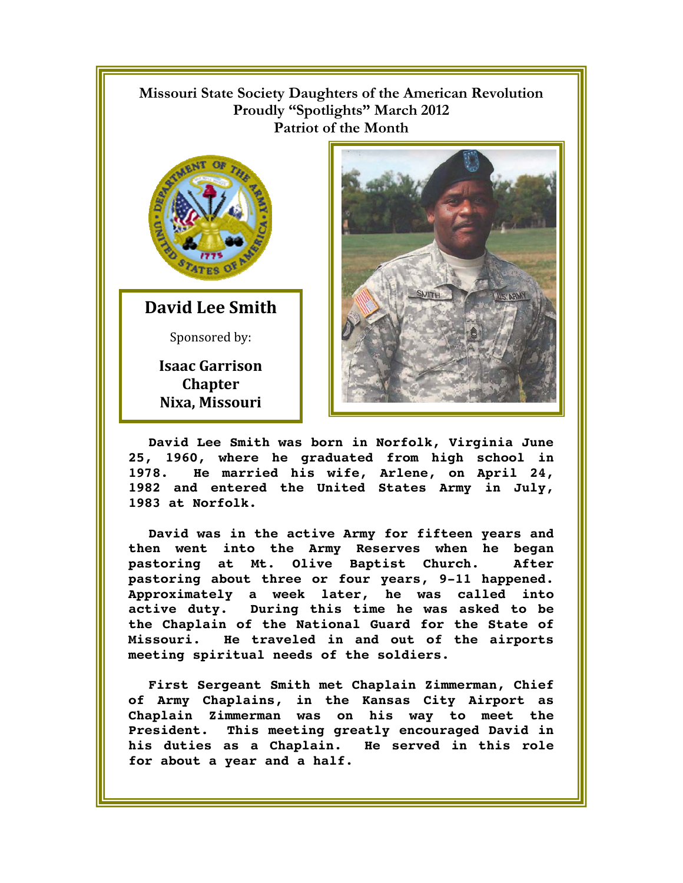## **Missouri State Society Daughters of the American Revolution Proudly "Spotlights" March 2012 Patriot of the Month**



**David Lee Smith** Sponsored by:

> **Isaac Garrison Chapter Nixa, Missouri**



**David Lee Smith was born in Norfolk, Virginia June 25, 1960, where he graduated from high school in 1978. He married his wife, Arlene, on April 24, 1982 and entered the United States Army in July, 1983 at Norfolk.** 

**David was in the active Army for fifteen years and then went into the Army Reserves when he began pastoring at Mt. Olive Baptist Church. After pastoring about three or four years, 9-11 happened. Approximately a week later, he was called into active duty. During this time he was asked to be the Chaplain of the National Guard for the State of Missouri. He traveled in and out of the airports meeting spiritual needs of the soldiers.** 

**First Sergeant Smith met Chaplain Zimmerman, Chief of Army Chaplains, in the Kansas City Airport as Chaplain Zimmerman was on his way to meet the President. This meeting greatly encouraged David in his duties as a Chaplain. He served in this role for about a year and a half.**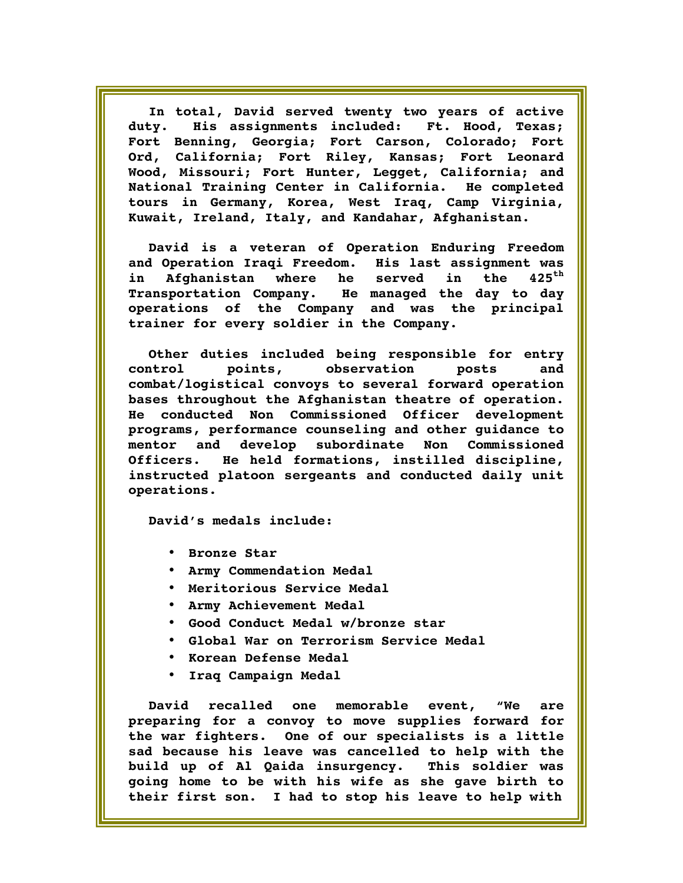**In total, David served twenty two years of active duty. His assignments included: Ft. Hood, Texas; Fort Benning, Georgia; Fort Carson, Colorado; Fort Ord, California; Fort Riley, Kansas; Fort Leonard Wood, Missouri; Fort Hunter, Legget, California; and National Training Center in California. He completed tours in Germany, Korea, West Iraq, Camp Virginia, Kuwait, Ireland, Italy, and Kandahar, Afghanistan.** 

**David is a veteran of Operation Enduring Freedom and Operation Iraqi Freedom. His last assignment was in Afghanistan where he served in the 425th Transportation Company. He managed the day to day operations of the Company and was the principal trainer for every soldier in the Company.** 

**Other duties included being responsible for entry control points, observation posts and combat/logistical convoys to several forward operation bases throughout the Afghanistan theatre of operation. He conducted Non Commissioned Officer development programs, performance counseling and other guidance to mentor and develop subordinate Non Commissioned Officers. He held formations, instilled discipline, instructed platoon sergeants and conducted daily unit operations.** 

**David's medals include:** 

- **Bronze Star**
- **Army Commendation Medal**
- **Meritorious Service Medal**
- **Army Achievement Medal**
- **Good Conduct Medal w/bronze star**
- **Global War on Terrorism Service Medal**
- **Korean Defense Medal**
- **Iraq Campaign Medal**

**David recalled one memorable event, "We are preparing for a convoy to move supplies forward for the war fighters. One of our specialists is a little sad because his leave was cancelled to help with the build up of Al Qaida insurgency. This soldier was going home to be with his wife as she gave birth to their first son. I had to stop his leave to help with**